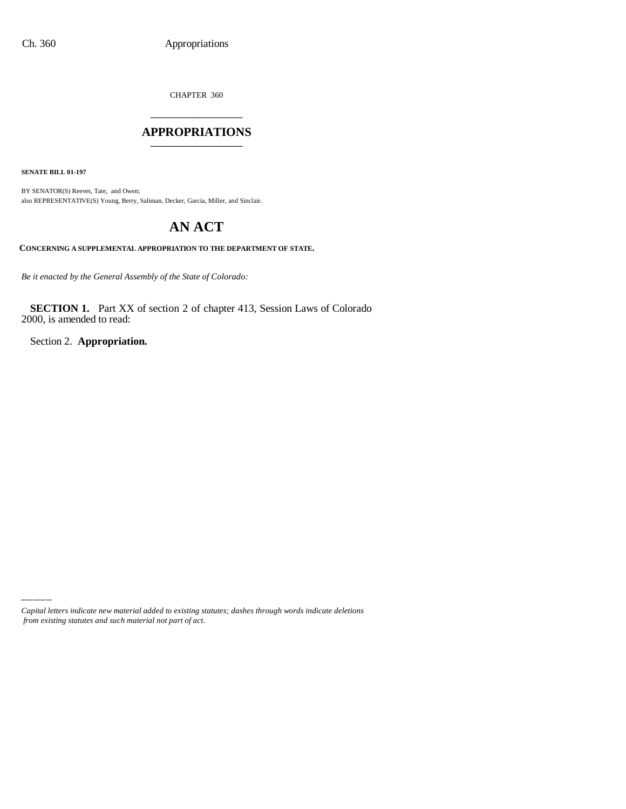CHAPTER 360 \_\_\_\_\_\_\_\_\_\_\_\_\_\_\_

#### **APPROPRIATIONS** \_\_\_\_\_\_\_\_\_\_\_\_\_\_\_

**SENATE BILL 01-197**

BY SENATOR(S) Reeves, Tate, and Owen; also REPRESENTATIVE(S) Young, Berry, Saliman, Decker, Garcia, Miller, and Sinclair.

# **AN ACT**

**CONCERNING A SUPPLEMENTAL APPROPRIATION TO THE DEPARTMENT OF STATE.**

*Be it enacted by the General Assembly of the State of Colorado:*

**SECTION 1.** Part XX of section 2 of chapter 413, Session Laws of Colorado 2000, is amended to read:

Section 2. **Appropriation.**

*Capital letters indicate new material added to existing statutes; dashes through words indicate deletions from existing statutes and such material not part of act.*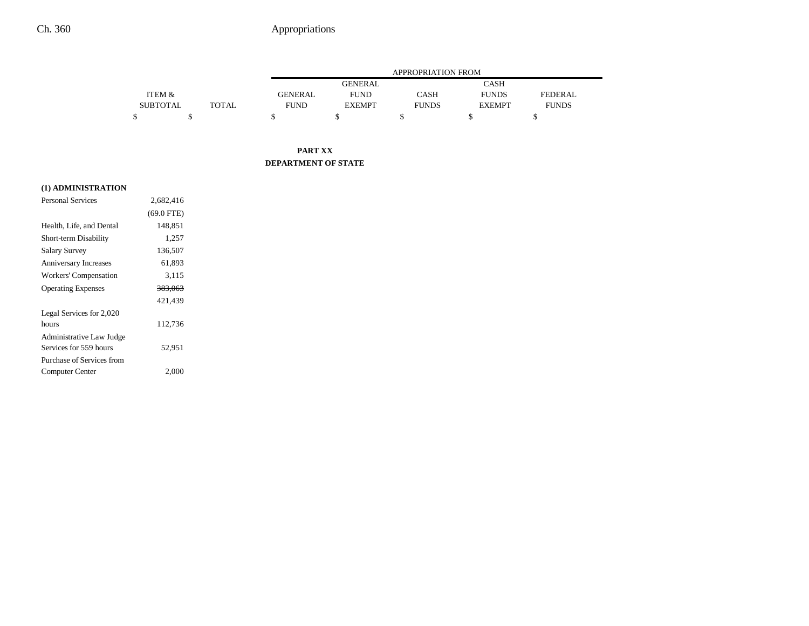# Ch. 360 Appropriations

|                 |       |             | APPROPRIATION FROM |              |               |                |  |
|-----------------|-------|-------------|--------------------|--------------|---------------|----------------|--|
|                 |       |             | <b>GENERAL</b>     |              | CASH          |                |  |
| ITEM &          |       | GENERAL     | <b>FUND</b>        | CASH         | <b>FUNDS</b>  | <b>FEDERAL</b> |  |
| <b>SUBTOTAL</b> | TOTAL | <b>FUND</b> | <b>EXEMPT</b>      | <b>FUNDS</b> | <b>EXEMPT</b> | <b>FUNDS</b>   |  |
|                 |       |             |                    |              |               |                |  |

## **PART XX DEPARTMENT OF STATE**

#### **(1) ADMINISTRATION**

| <b>Personal Services</b>  | 2.682.416          |  |
|---------------------------|--------------------|--|
|                           | $(69.0$ FTE)       |  |
| Health, Life, and Dental  | 148,851            |  |
| Short-term Disability     | 1,257              |  |
| <b>Salary Survey</b>      | 136,507            |  |
| Anniversary Increases     | 61,893             |  |
| Workers' Compensation     | 3,115              |  |
| <b>Operating Expenses</b> | <del>383,063</del> |  |
|                           | 421,439            |  |
| Legal Services for 2,020  |                    |  |
| hours                     | 112,736            |  |
| Administrative Law Judge  |                    |  |
| Services for 559 hours    | 52,951             |  |
| Purchase of Services from |                    |  |
| Computer Center           | 2.000              |  |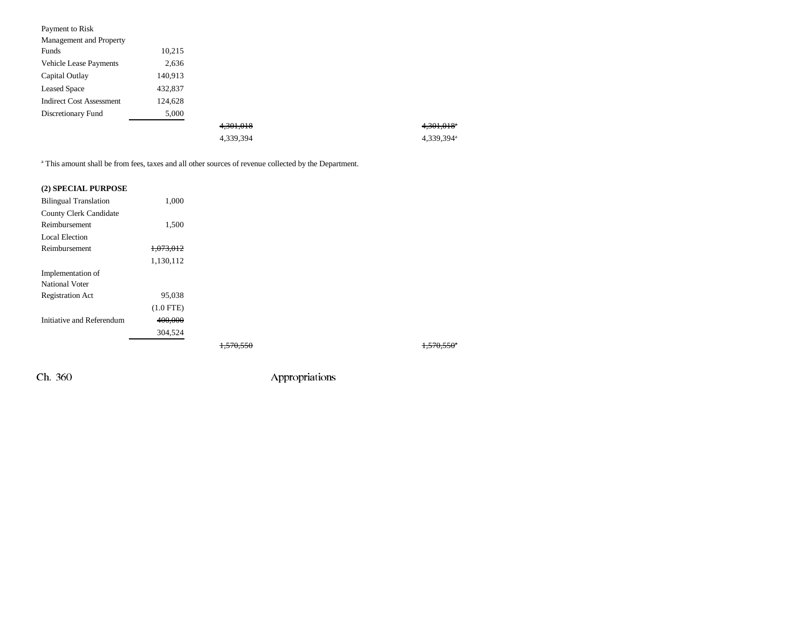| Payment to Risk                 |         |           |                        |
|---------------------------------|---------|-----------|------------------------|
| Management and Property         |         |           |                        |
| Funds                           | 10,215  |           |                        |
| Vehicle Lease Payments          | 2,636   |           |                        |
| Capital Outlay                  | 140,913 |           |                        |
| <b>Leased Space</b>             | 432,837 |           |                        |
| <b>Indirect Cost Assessment</b> | 124,628 |           |                        |
| Discretionary Fund              | 5,000   |           |                        |
|                                 |         | 4,301,018 | 4,301,018              |
|                                 |         | 4,339,394 | 4,339,394 <sup>a</sup> |

<sup>a</sup> This amount shall be from fees, taxes and all other sources of revenue collected by the Department.

#### **(2) SPECIAL PURPOSE**

| <b>Bilingual Translation</b>  | 1.000       |                       |  |  |
|-------------------------------|-------------|-----------------------|--|--|
| <b>County Clerk Candidate</b> |             |                       |  |  |
| Reimbursement                 | 1,500       |                       |  |  |
| <b>Local Election</b>         |             |                       |  |  |
| Reimbursement                 | 1,073,012   |                       |  |  |
|                               | 1,130,112   |                       |  |  |
| Implementation of             |             |                       |  |  |
| <b>National Voter</b>         |             |                       |  |  |
| <b>Registration Act</b>       | 95,038      |                       |  |  |
|                               | $(1.0$ FTE) |                       |  |  |
| Initiative and Referendum     | 400,000     |                       |  |  |
|                               | 304,524     |                       |  |  |
|                               |             | <del>1.570.55</del> 0 |  |  |

 $1,570,550$ <sup>\*</sup>

Ch. 360 Appropriations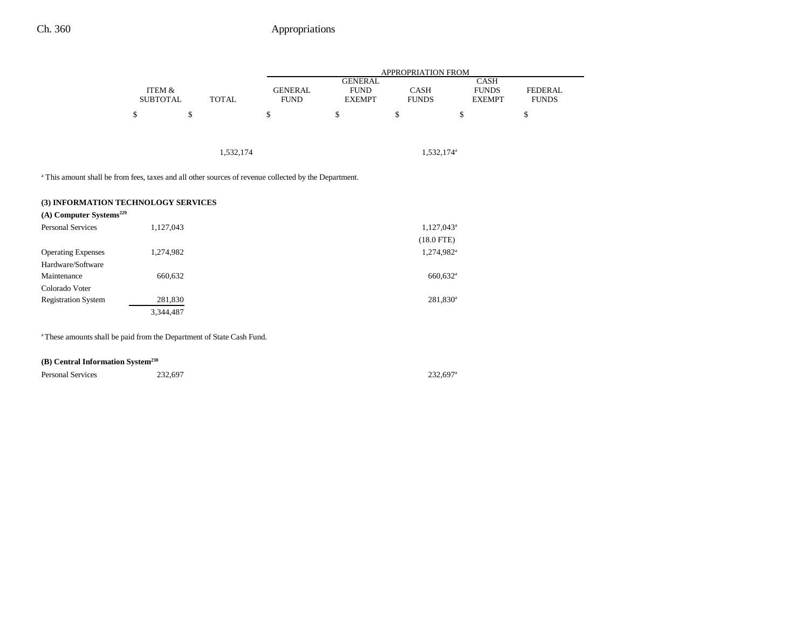# Ch. 360 Appropriations

|                 |              | <b>APPROPRIATION FROM</b> |                |              |               |                |
|-----------------|--------------|---------------------------|----------------|--------------|---------------|----------------|
|                 |              |                           | <b>GENERAL</b> |              | <b>CASH</b>   |                |
| ITEM &          |              | GENERAL                   | <b>FUND</b>    | <b>CASH</b>  | <b>FUNDS</b>  | <b>FEDERAL</b> |
| <b>SUBTOTAL</b> | <b>TOTAL</b> | <b>FUND</b>               | <b>EXEMPT</b>  | <b>FUNDS</b> | <b>EXEMPT</b> | <b>FUNDS</b>   |
|                 |              |                           |                |              |               |                |
|                 |              |                           |                |              |               |                |

1,532,174<sup>a</sup> 1,532,174<sup>a</sup>

<sup>a</sup> This amount shall be from fees, taxes and all other sources of revenue collected by the Department.

## **(3) INFORMATION TECHNOLOGY SERVICES**

| 1,127,043 | 1,127,043 <sup>a</sup> |
|-----------|------------------------|
|           | $(18.0$ FTE)           |
| 1,274,982 | 1,274,982 <sup>a</sup> |
|           |                        |
| 660.632   | 660,632 <sup>a</sup>   |
|           |                        |
| 281,830   | 281,830 <sup>a</sup>   |
| 3,344,487 |                        |
|           |                        |

<sup>a</sup> These amounts shall be paid from the Department of State Cash Fund.

## **(B) Central Information System230**

Personal Services 232,697<sup>a</sup> 232,697<sup>a</sup> 232,697<sup>a</sup>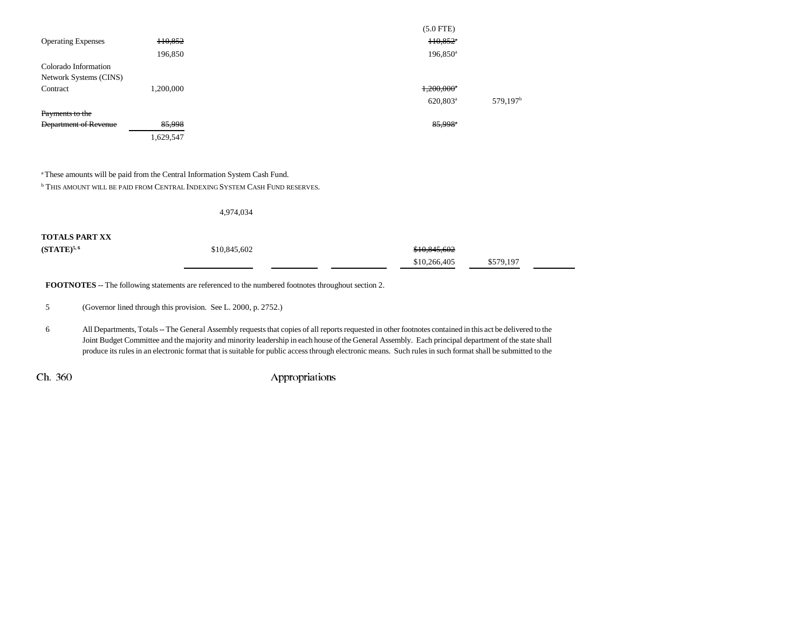|                              |           | $(5.0$ FTE)              |                      |
|------------------------------|-----------|--------------------------|----------------------|
| <b>Operating Expenses</b>    | 110,852   | $110,852$ <sup>*</sup>   |                      |
|                              | 196,850   | 196,850 <sup>a</sup>     |                      |
| Colorado Information         |           |                          |                      |
| Network Systems (CINS)       |           |                          |                      |
| Contract                     | 1,200,000 | $1,200,000$ <sup>*</sup> |                      |
|                              |           | 620,803 <sup>a</sup>     | 579,197 <sup>b</sup> |
| Payments to the              |           |                          |                      |
| <b>Department of Revenue</b> | 85,998    | 85,998 <sup>a</sup>      |                      |
|                              | 1,629,547 |                          |                      |

<sup>a</sup> These amounts will be paid from the Central Information System Cash Fund.

**<sup>b</sup> This amount will be paid from Central Indexing System Cash Fund reserves.** 

|                                          | 4,974,034    |                              |           |  |
|------------------------------------------|--------------|------------------------------|-----------|--|
| <b>TOTALS PART XX</b><br>$(STATE)^{5,6}$ | \$10,845,602 | \$10,845,602<br>\$10,266,405 | \$579,197 |  |

**FOOTNOTES** -- The following statements are referenced to the numbered footnotes throughout section 2.

5 (Governor lined through this provision. See L. 2000, p. 2752.)

6 All Departments, Totals -- The General Assembly requests that copies of all reports requested in other footnotes contained in this act be delivered to the Joint Budget Committee and the majority and minority leadership in each house of the General Assembly. Each principal department of the state shall produce its rules in an electronic format that is suitable for public access through electronic means. Such rules in such format shall be submitted to the

Ch. 360 Appropriations